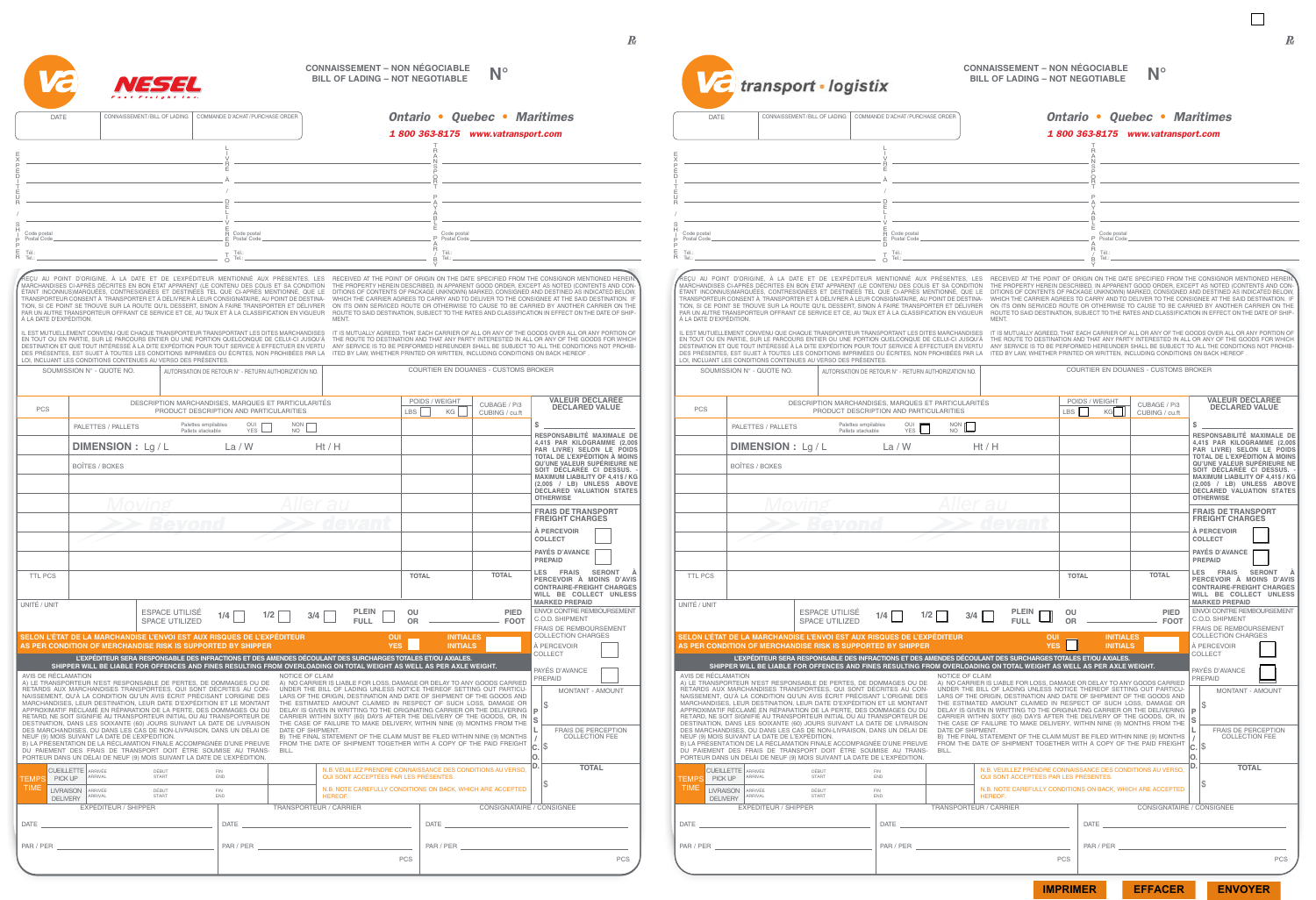

TEMPS

Code postal Postal Code

Tél.: Tel.:

E X P É D I T E U R / S H I P P E R

PCS

DATE

#### **CONNAISSEMENT – NON NÉGOCIABLE BILL OF LADING – NOT NEGOTIABLE N°**

ENVOI CONTRE REMBOURSEMENT C.O.D. SHIPMENT FRAIS DE REMBOURSEMENT COLLECTION CHARGES AVIS DE RÉCLAMATION<br>A) LE TRANSPORTEUR N'EST RESPONSABLE DE PERTES, DE DOMMAGES OU DE<br>RETARDS AUX MARCHANDISES TRANSPORTÉES, QUI SONT DÉCRITES AU CON-<br>NAISSEMENT, QU'À LA CONDITION QU'UN AVIS ÉCRIT PRÉCISANT L'ORIGINE DES<br> DES MARCHANDISES, OU DANS LES CAS DE NON-LIVRAISON, DANS UN DELAI DE<br>NEUF (9) MOIS SUIVANT LA DATE DE L'EXPÉDITION.<br>B) LA PRÉSENTATION DE LA RÉCLAMATION FINALE ACCOMPAGNÉE D'UNE PREUVE<br>DU PAIEMENT DES FRAIS DE TRANSPORT DO NOTICE OF CLAIM<br>A) NO CARRIER IS LIABLE FOR LOSS, DAMAGE OR DELAY TO ANY GOODS CARRIED<br>UNDER THE BILL OF LADING UNLESS NOTICE THEREOF SETTING OUT PARTICU-<br>LARS OF THE ORIGIN, DESTINATION AND DATE OF SHIPMENT OF THE GOODS A DATE OF SHIPMENT. B) THE FINAL STATEMENT OF THE CLAIM MUST BE FILED WITHIN NINE (9) MONTHS FROM THE DATE OF SHIPMENT TOGETHER WITH A COPY OF THE PAID FREIGHT BILL. CUEILLETTE ARRIVÉE<br>
ARRIVAL START END END PICK UP LIVRAISON **DELIVERY** ARRIVÉE DÉBUT FIN ARRIVAL START END N.B. VEUILLEZ PRENDRE CONNAISSANCE DES CONDITIONS AU VERSO, QUI SONT ACCEPTÉES PAR LES PRÉSENTES. N.B. NOTE CAREFULLY CONDITIONS ON BACK, WHICH ARE ACCEPTED **HEREOF** EXPÉDITEUR / SHIPPER PAR / PER TRANSPORTEUR / CARRIER DATE PAR / PER **VALEUR DÉCLARÉE DECLARED VALUE \$ RESPONSABILITÉ MAXIMALE DE 4,41\$ PAR KILOGRAMME (2,00\$ PAR LIVRE) SELON LE POIDS TOTAL DE L'EXPÉDITION À MOINS QU'UNE VALEUR SUPÉRIEURE NE SOIT DÉCLARÉE CI DESSUS. - MAXIMUM LIABILITY OF 4,41\$ / KG (2,00\$ / LB) UNLESS ABOVE DECLARED VALUATION STATES OTHERWISE FRAIS DE TRANSPORT FREIGHT CHARGES À PERCEVOIR COLLECT PAYÉS D'AVANCE PREPAID** À PERCEVOIR COLLECT PAYÉS D'AVANCE PREPAID **LES FRAIS SERONT À PERCEVOIR À MOINS D'AVIS CONTRAIRE-FREIGHT CHARGES WILL BE COLLECT UNLESS MARKED PREPAID** MONTANT - AMOUNT **P S L / C. O. D.** L'EXPEDITEUR SERA RESPONSABLE DES INFRACTIONS ET DES AMENDES DECOULANT DES SURCHARGES TOTALES ET/OU AXIALES.<br>SHIPPER WILL BE LIABLE FOR OFFENCES AND FINES RESULTING FROM OVERLOADING ON TOTAL WEIGHT AS WELL AS PER AXLE WEIG **TOTAL** \$ FRAIS DE PERCEPTION COLLECTION FFF \$ \$ CONSIGNATAIRE / CONSIGNEE DATE PAR / PER DATE CONNAISSEMENT/BILL OF LADING COMMANDE D'ACHAT/PURCHASE ORDER **SELON L'ÉTAT DE LA MARCHANDISE L'ENVOI EST AUX RISQUES DE L'EXPÉDITEUR OUI INITIALES AS PER CONDITION OF MERCHANDISE RISK IS SUPPORTED BY SHIPPER YES INITIALS** DESCRIPTION MARCHANDISES, MARQUES ET PARTICULARITÉS PRODUCT DESCRIPTION AND PARTICULARITIES CUBAGE / Pi3 CUBING / cu.ft ESPACE UTILISÉ SPACE UTILIZED **TOTAL TOTAL** PALETTES / PALLETS BOÎTES / BOXES OUI YES NON NO TTL PCS UNITÉ / UNIT **DIMENSION :** Lg / L La / W Ht / H **1/4 1/2 3/4 PLEIN FULL PIED FOOT OU OR** Palettes empilables Pallets stackable POIDS / WEIGHT LBS KG COURTIER EN DOUANES - CUSTOMS BROKER REÇU AU POINT D'ORIGINE, A LA DATE ET DE L'EXPEDITEUR MENTIONNE AUX PRESENTES, LES<br>MARCHANDISES CI-APRÈS DÉCRITES EN BON ÉTAT APPARENT (LE CONTENU DES COLIS ET SA CONDITION<br>ÉTANT INCONNUSJMARQUÉES, CONTRESIGNÉES ET DESTINÉ TRANSPORTEUR CONSENT À TRANSPORTER ET À DÉLIVRER À LEUR CONSIGNATAIRE, AU POINT DE DESTINA-TION, SI CE POINT SE TROUVE SUR LA ROUTE QU'IL DESSERT, SINON À FAIRE TRANSPORTER ET DÉLIVRER PAR UN AUTRE TRANSPORTEUR OFFRANT CE SERVICE ET CE, AU TAUX ET À LA CLASSIFICATION EN VIGUEUR À LA DATE D'EXPÉDITION. IL EST MUTUELLEMENT CONVENU QUE CHAQUE TRANSPORTEUR TRANSPORTANT LES DITES MARCHANDISES<br>EN TOUT OU EN PARTIE, SUR LE PARCOURS ENTIER OU UNE PORTION QUELCONQUE DE CELUI-CI JUSQU'À DESTINATION ET QUE TOUT INTERESSE A LA DITE EXPEDITION POUR TOUT SERVICE A EFFECTUER EN VERTU<br>DES PRÉSENTES, EST SUJET À TOUTES LES CONDITIONS IMPRIMÉES OU ÉCRITES, NON PROHIBÉES PAR LA<br>LOI, INCLUANT LES CONDITIONS CONTENU RECEIVED AT THE POINT OF ORIGIN ON THE DATE SPECIFIED FROM THE CONSIGNOR MENTIONED HEREIN:<br>THE PROPERTY HEREIN DESCRIBED, IN APPARENT GOOD ORDER, EXCEPT AS NOTED (CONTENTS AND CON-<br>DITIONS OF CONTENTS OF PACKAGE UNKNOWN) M WHICH THE CARRIER AGREES TO CARRY AND TO DELIVER TO THE CONSIGNEE AT THE SAID DESTINATION. IF<br>ON ITS OWN SERVICED ROUTE OR OTHERWISE TO CAUSE TO BE CARRIED BY ANOTHER CARRIER ON THE<br>ROUTE TO SAID DESTINATION, SUBJECT TO TH MENT. IT IS MUTUALLY AGREED, THAT EACH CARRIER OF ALL OR ANY OF THE GOODS OVER ALL OR ANY PORTION OF<br>THE ROUTE TO DESTINATION AND THAT ANY PARTY INTERESTED IN ALL OR ANY OF THE GOODS FOR WHICH<br>ANY SERVICE IS TO BE PERFORMED HERE ITED BY LAW, WHETHER PRINTED OR WRITTEN, INCLUDING CONDITIONS ON BACK HEREOF SOUMISSION N° - QUOTE NO. AUTORISATION DE RETOUR N° - RETURN AUTHORIZATION NO. Code postal Postal Code Tél.:<br>O Tel.: L I V R É À / D E L I V E R E D Code postal Postal Code Tél.: Tel.: T R A N S P O R T P A Y A B L E P A R / B Y **Ontario • Quebec • Maritimes 1 800 363-8175 www.vatransport.com**

**IMPRIMER EFFACER ENVOYER**

PCS

PCS

 $\boldsymbol{R}$